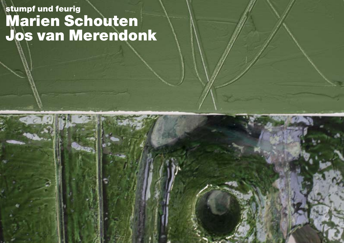## stumpf und feurig Marien Schouten Jos van Merendonk